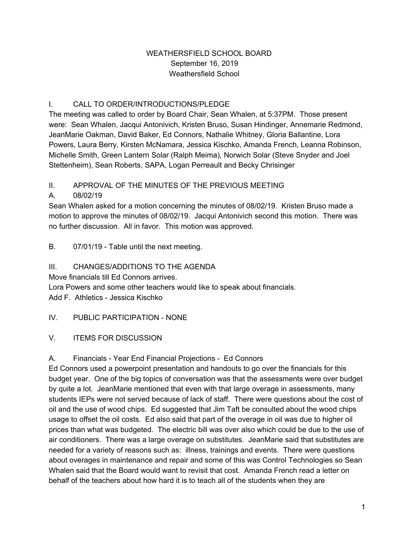#### WEATHERSFIELD SCHOOL BOARD September 16, 2019 Weathersfield School

## I. CALL TO ORDER/INTRODUCTIONS/PLEDGE

The meeting was called to order by Board Chair, Sean Whalen, at 5:37PM. Those present were: Sean Whalen, Jacqui Antonivich, Kristen Bruso, Susan Hindinger, Annemarie Redmond, JeanMarie Oakman, David Baker, Ed Connors, Nathalie Whitney, Gloria Ballantine, Lora Powers, Laura Berry, Kirsten McNamara, Jessica Kischko, Amanda French, Leanna Robinson, Michelle Smith, Green Lantern Solar (Ralph Meima), Norwich Solar (Steve Snyder and Joel Stettenheim), Sean Roberts, SAPA, Logan Perreault and Becky Chrisinger

## II. APPROVAL OF THE MINUTES OF THE PREVIOUS MEETING

## A. 08/02/19

Sean Whalen asked for a motion concerning the minutes of 08/02/19. Kristen Bruso made a motion to approve the minutes of 08/02/19. Jacqui Antonivich second this motion. There was no further discussion. All in favor. This motion was approved.

#### B. 07/01/19 - Table until the next meeting.

## III. CHANGES/ADDITIONS TO THE AGENDA

Move financials till Ed Connors arrives.

Lora Powers and some other teachers would like to speak about financials.

Add F. Athletics - Jessica Kischko

#### IV. PUBLIC PARTICIPATION - NONE

# V. ITEMS FOR DISCUSSION

#### A. Financials - Year End Financial Projections - Ed Connors

Ed Connors used a powerpoint presentation and handouts to go over the financials for this budget year. One of the big topics of conversation was that the assessments were over budget by quite a lot. JeanMarie mentioned that even with that large overage in assessments, many students IEPs were not served because of lack of staff. There were questions about the cost of oil and the use of wood chips. Ed suggested that Jim Taft be consulted about the wood chips usage to offset the oil costs. Ed also said that part of the overage in oil was due to higher oil prices than what was budgeted. The electric bill was over also which could be due to the use of air conditioners. There was a large overage on substitutes. JeanMarie said that substitutes are needed for a variety of reasons such as: illness, trainings and events. There were questions about overages in maintenance and repair and some of this was Control Technologies so Sean Whalen said that the Board would want to revisit that cost. Amanda French read a letter on behalf of the teachers about how hard it is to teach all of the students when they are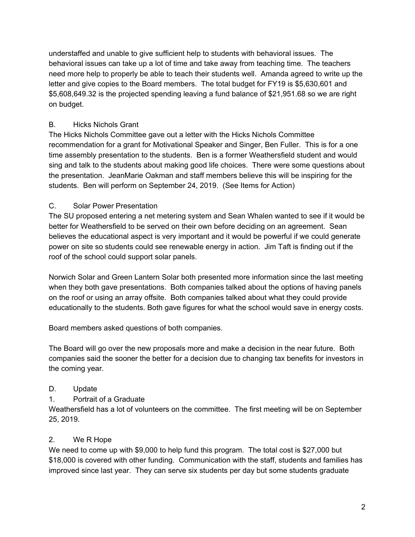understaffed and unable to give sufficient help to students with behavioral issues. The behavioral issues can take up a lot of time and take away from teaching time. The teachers need more help to properly be able to teach their students well. Amanda agreed to write up the letter and give copies to the Board members. The total budget for FY19 is \$5,630,601 and \$5,608,649.32 is the projected spending leaving a fund balance of \$21,951.68 so we are right on budget.

#### B. Hicks Nichols Grant

The Hicks Nichols Committee gave out a letter with the Hicks Nichols Committee recommendation for a grant for Motivational Speaker and Singer, Ben Fuller. This is for a one time assembly presentation to the students. Ben is a former Weathersfield student and would sing and talk to the students about making good life choices. There were some questions about the presentation. JeanMarie Oakman and staff members believe this will be inspiring for the students. Ben will perform on September 24, 2019. (See Items for Action)

#### C. Solar Power Presentation

The SU proposed entering a net metering system and Sean Whalen wanted to see if it would be better for Weathersfield to be served on their own before deciding on an agreement. Sean believes the educational aspect is very important and it would be powerful if we could generate power on site so students could see renewable energy in action. Jim Taft is finding out if the roof of the school could support solar panels.

Norwich Solar and Green Lantern Solar both presented more information since the last meeting when they both gave presentations. Both companies talked about the options of having panels on the roof or using an array offsite. Both companies talked about what they could provide educationally to the students. Both gave figures for what the school would save in energy costs.

Board members asked questions of both companies.

The Board will go over the new proposals more and make a decision in the near future. Both companies said the sooner the better for a decision due to changing tax benefits for investors in the coming year.

#### D. Update

#### 1. Portrait of a Graduate

Weathersfield has a lot of volunteers on the committee. The first meeting will be on September 25, 2019.

#### 2. We R Hope

We need to come up with \$9,000 to help fund this program. The total cost is \$27,000 but \$18,000 is covered with other funding. Communication with the staff, students and families has improved since last year. They can serve six students per day but some students graduate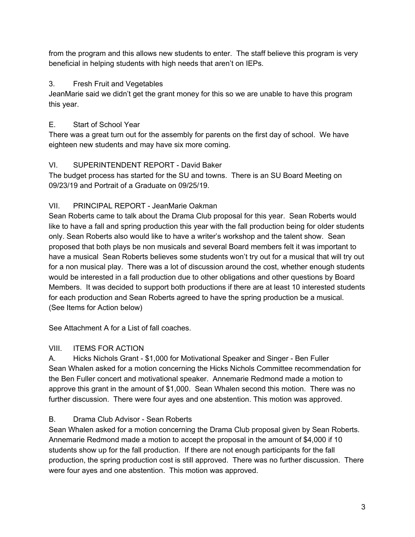from the program and this allows new students to enter. The staff believe this program is very beneficial in helping students with high needs that aren't on IEPs.

## 3. Fresh Fruit and Vegetables

JeanMarie said we didn't get the grant money for this so we are unable to have this program this year.

# E. Start of School Year

There was a great turn out for the assembly for parents on the first day of school. We have eighteen new students and may have six more coming.

# VI. SUPERINTENDENT REPORT - David Baker

The budget process has started for the SU and towns. There is an SU Board Meeting on 09/23/19 and Portrait of a Graduate on 09/25/19.

# VII. PRINCIPAL REPORT - JeanMarie Oakman

Sean Roberts came to talk about the Drama Club proposal for this year. Sean Roberts would like to have a fall and spring production this year with the fall production being for older students only. Sean Roberts also would like to have a writer's workshop and the talent show. Sean proposed that both plays be non musicals and several Board members felt it was important to have a musical Sean Roberts believes some students won't try out for a musical that will try out for a non musical play. There was a lot of discussion around the cost, whether enough students would be interested in a fall production due to other obligations and other questions by Board Members. It was decided to support both productions if there are at least 10 interested students for each production and Sean Roberts agreed to have the spring production be a musical. (See Items for Action below)

See Attachment A for a List of fall coaches.

# VIII. ITEMS FOR ACTION

A. Hicks Nichols Grant - \$1,000 for Motivational Speaker and Singer - Ben Fuller Sean Whalen asked for a motion concerning the Hicks Nichols Committee recommendation for the Ben Fuller concert and motivational speaker. Annemarie Redmond made a motion to approve this grant in the amount of \$1,000. Sean Whalen second this motion. There was no further discussion. There were four ayes and one abstention. This motion was approved.

# B. Drama Club Advisor - Sean Roberts

Sean Whalen asked for a motion concerning the Drama Club proposal given by Sean Roberts. Annemarie Redmond made a motion to accept the proposal in the amount of \$4,000 if 10 students show up for the fall production. If there are not enough participants for the fall production, the spring production cost is still approved. There was no further discussion. There were four ayes and one abstention. This motion was approved.